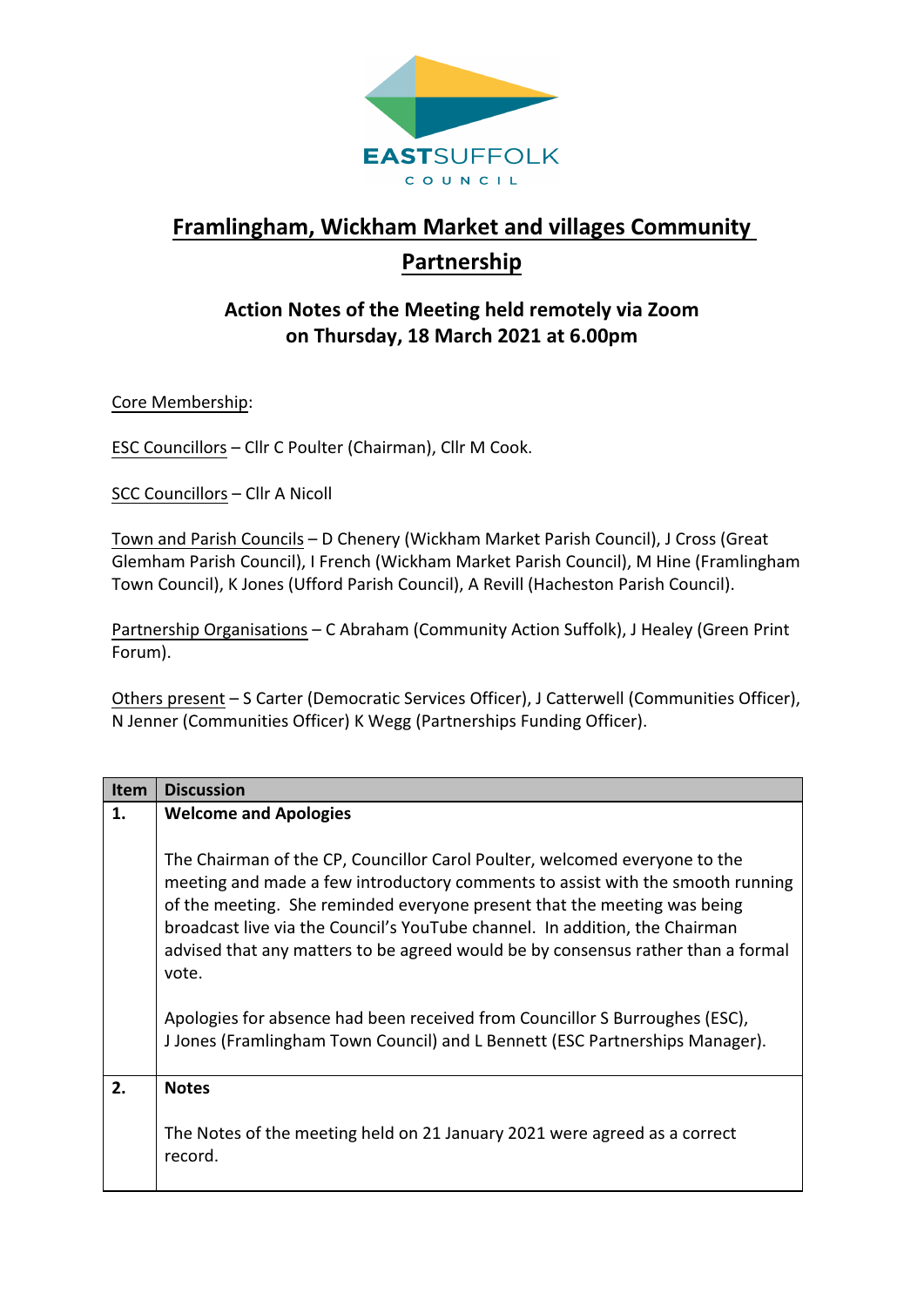

## **Framlingham, Wickham Market and villages Community Partnership**

## **Action Notes of the Meeting held remotely via Zoom on Thursday, 18 March 2021 at 6.00pm**

Core Membership:

ESC Councillors – Cllr C Poulter (Chairman), Cllr M Cook.

SCC Councillors – Cllr A Nicoll

Town and Parish Councils – D Chenery (Wickham Market Parish Council), J Cross (Great Glemham Parish Council), I French (Wickham Market Parish Council), M Hine (Framlingham Town Council), K Jones (Ufford Parish Council), A Revill (Hacheston Parish Council).

Partnership Organisations – C Abraham (Community Action Suffolk), J Healey (Green Print Forum).

Others present – S Carter (Democratic Services Officer), J Catterwell (Communities Officer), N Jenner (Communities Officer) K Wegg (Partnerships Funding Officer).

| <b>Item</b> | <b>Discussion</b>                                                                                                                                                                                                                                                                                                                                                                                                    |
|-------------|----------------------------------------------------------------------------------------------------------------------------------------------------------------------------------------------------------------------------------------------------------------------------------------------------------------------------------------------------------------------------------------------------------------------|
| 1.          | <b>Welcome and Apologies</b>                                                                                                                                                                                                                                                                                                                                                                                         |
|             |                                                                                                                                                                                                                                                                                                                                                                                                                      |
|             | The Chairman of the CP, Councillor Carol Poulter, welcomed everyone to the<br>meeting and made a few introductory comments to assist with the smooth running<br>of the meeting. She reminded everyone present that the meeting was being<br>broadcast live via the Council's YouTube channel. In addition, the Chairman<br>advised that any matters to be agreed would be by consensus rather than a formal<br>vote. |
|             | Apologies for absence had been received from Councillor S Burroughes (ESC),<br>J Jones (Framlingham Town Council) and L Bennett (ESC Partnerships Manager).                                                                                                                                                                                                                                                          |
| 2.          | <b>Notes</b>                                                                                                                                                                                                                                                                                                                                                                                                         |
|             | The Notes of the meeting held on 21 January 2021 were agreed as a correct<br>record.                                                                                                                                                                                                                                                                                                                                 |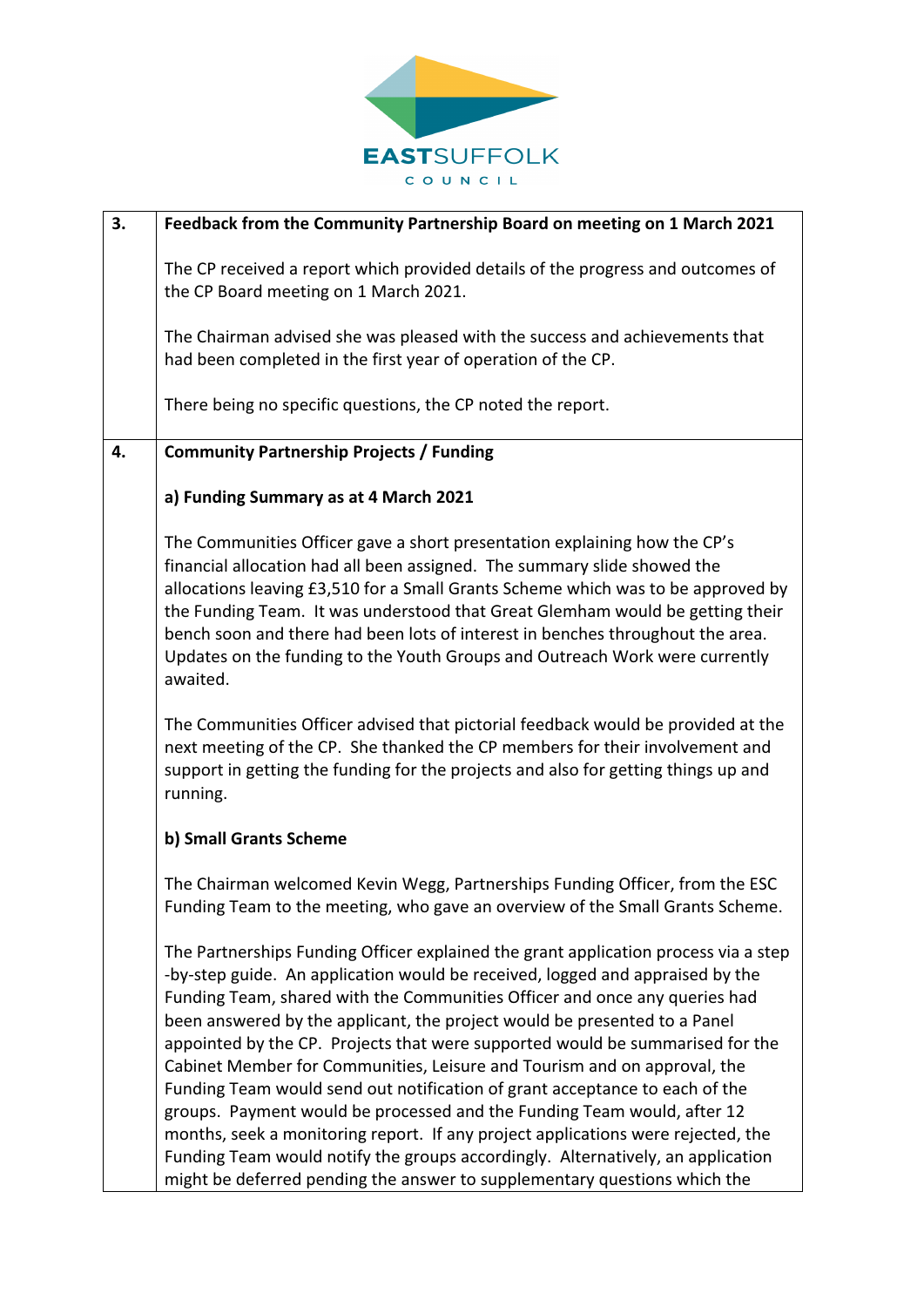

| 3. | Feedback from the Community Partnership Board on meeting on 1 March 2021                                                                                                                                                                                                                                                                                                                                                                                                                                                                                                                                                                                                                                                                                                                                                                                                                                   |
|----|------------------------------------------------------------------------------------------------------------------------------------------------------------------------------------------------------------------------------------------------------------------------------------------------------------------------------------------------------------------------------------------------------------------------------------------------------------------------------------------------------------------------------------------------------------------------------------------------------------------------------------------------------------------------------------------------------------------------------------------------------------------------------------------------------------------------------------------------------------------------------------------------------------|
|    | The CP received a report which provided details of the progress and outcomes of<br>the CP Board meeting on 1 March 2021.                                                                                                                                                                                                                                                                                                                                                                                                                                                                                                                                                                                                                                                                                                                                                                                   |
|    | The Chairman advised she was pleased with the success and achievements that<br>had been completed in the first year of operation of the CP.                                                                                                                                                                                                                                                                                                                                                                                                                                                                                                                                                                                                                                                                                                                                                                |
|    | There being no specific questions, the CP noted the report.                                                                                                                                                                                                                                                                                                                                                                                                                                                                                                                                                                                                                                                                                                                                                                                                                                                |
| 4. | <b>Community Partnership Projects / Funding</b>                                                                                                                                                                                                                                                                                                                                                                                                                                                                                                                                                                                                                                                                                                                                                                                                                                                            |
|    | a) Funding Summary as at 4 March 2021                                                                                                                                                                                                                                                                                                                                                                                                                                                                                                                                                                                                                                                                                                                                                                                                                                                                      |
|    | The Communities Officer gave a short presentation explaining how the CP's<br>financial allocation had all been assigned. The summary slide showed the<br>allocations leaving £3,510 for a Small Grants Scheme which was to be approved by<br>the Funding Team. It was understood that Great Glemham would be getting their<br>bench soon and there had been lots of interest in benches throughout the area.<br>Updates on the funding to the Youth Groups and Outreach Work were currently<br>awaited.                                                                                                                                                                                                                                                                                                                                                                                                    |
|    | The Communities Officer advised that pictorial feedback would be provided at the<br>next meeting of the CP. She thanked the CP members for their involvement and<br>support in getting the funding for the projects and also for getting things up and<br>running.                                                                                                                                                                                                                                                                                                                                                                                                                                                                                                                                                                                                                                         |
|    | b) Small Grants Scheme                                                                                                                                                                                                                                                                                                                                                                                                                                                                                                                                                                                                                                                                                                                                                                                                                                                                                     |
|    | The Chairman welcomed Kevin Wegg, Partnerships Funding Officer, from the ESC<br>Funding Team to the meeting, who gave an overview of the Small Grants Scheme.                                                                                                                                                                                                                                                                                                                                                                                                                                                                                                                                                                                                                                                                                                                                              |
|    | The Partnerships Funding Officer explained the grant application process via a step<br>-by-step guide. An application would be received, logged and appraised by the<br>Funding Team, shared with the Communities Officer and once any queries had<br>been answered by the applicant, the project would be presented to a Panel<br>appointed by the CP. Projects that were supported would be summarised for the<br>Cabinet Member for Communities, Leisure and Tourism and on approval, the<br>Funding Team would send out notification of grant acceptance to each of the<br>groups. Payment would be processed and the Funding Team would, after 12<br>months, seek a monitoring report. If any project applications were rejected, the<br>Funding Team would notify the groups accordingly. Alternatively, an application<br>might be deferred pending the answer to supplementary questions which the |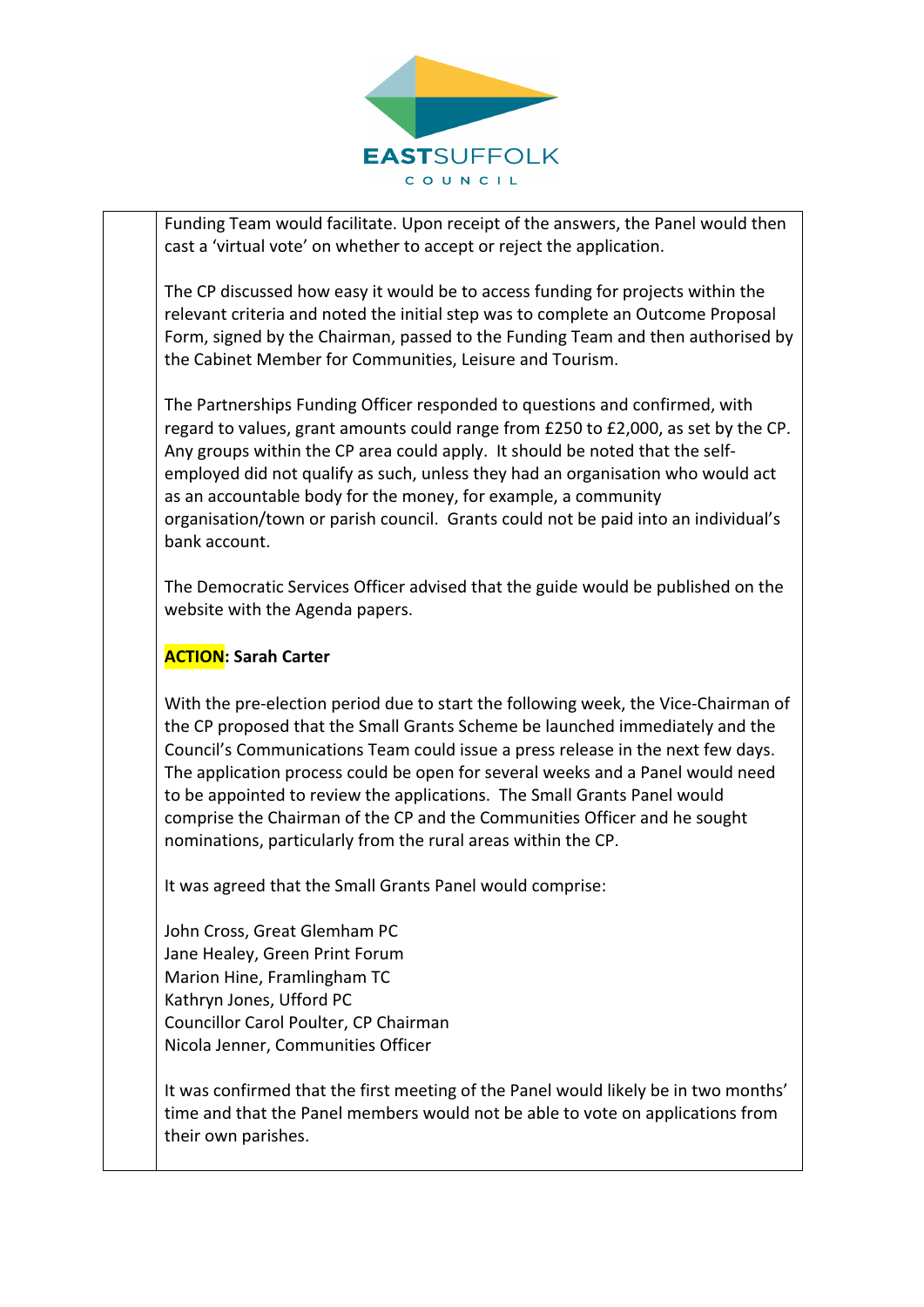

Funding Team would facilitate. Upon receipt of the answers, the Panel would then cast a 'virtual vote' on whether to accept or reject the application.

The CP discussed how easy it would be to access funding for projects within the relevant criteria and noted the initial step was to complete an Outcome Proposal Form, signed by the Chairman, passed to the Funding Team and then authorised by the Cabinet Member for Communities, Leisure and Tourism.

The Partnerships Funding Officer responded to questions and confirmed, with regard to values, grant amounts could range from £250 to £2,000, as set by the CP. Any groups within the CP area could apply. It should be noted that the self‐ employed did not qualify as such, unless they had an organisation who would act as an accountable body for the money, for example, a community organisation/town or parish council. Grants could not be paid into an individual's bank account.

The Democratic Services Officer advised that the guide would be published on the website with the Agenda papers.

## **ACTION: Sarah Carter**

With the pre-election period due to start the following week, the Vice-Chairman of the CP proposed that the Small Grants Scheme be launched immediately and the Council's Communications Team could issue a press release in the next few days. The application process could be open for several weeks and a Panel would need to be appointed to review the applications. The Small Grants Panel would comprise the Chairman of the CP and the Communities Officer and he sought nominations, particularly from the rural areas within the CP.

It was agreed that the Small Grants Panel would comprise:

John Cross, Great Glemham PC Jane Healey, Green Print Forum Marion Hine, Framlingham TC Kathryn Jones, Ufford PC Councillor Carol Poulter, CP Chairman Nicola Jenner, Communities Officer

It was confirmed that the first meeting of the Panel would likely be in two months' time and that the Panel members would not be able to vote on applications from their own parishes.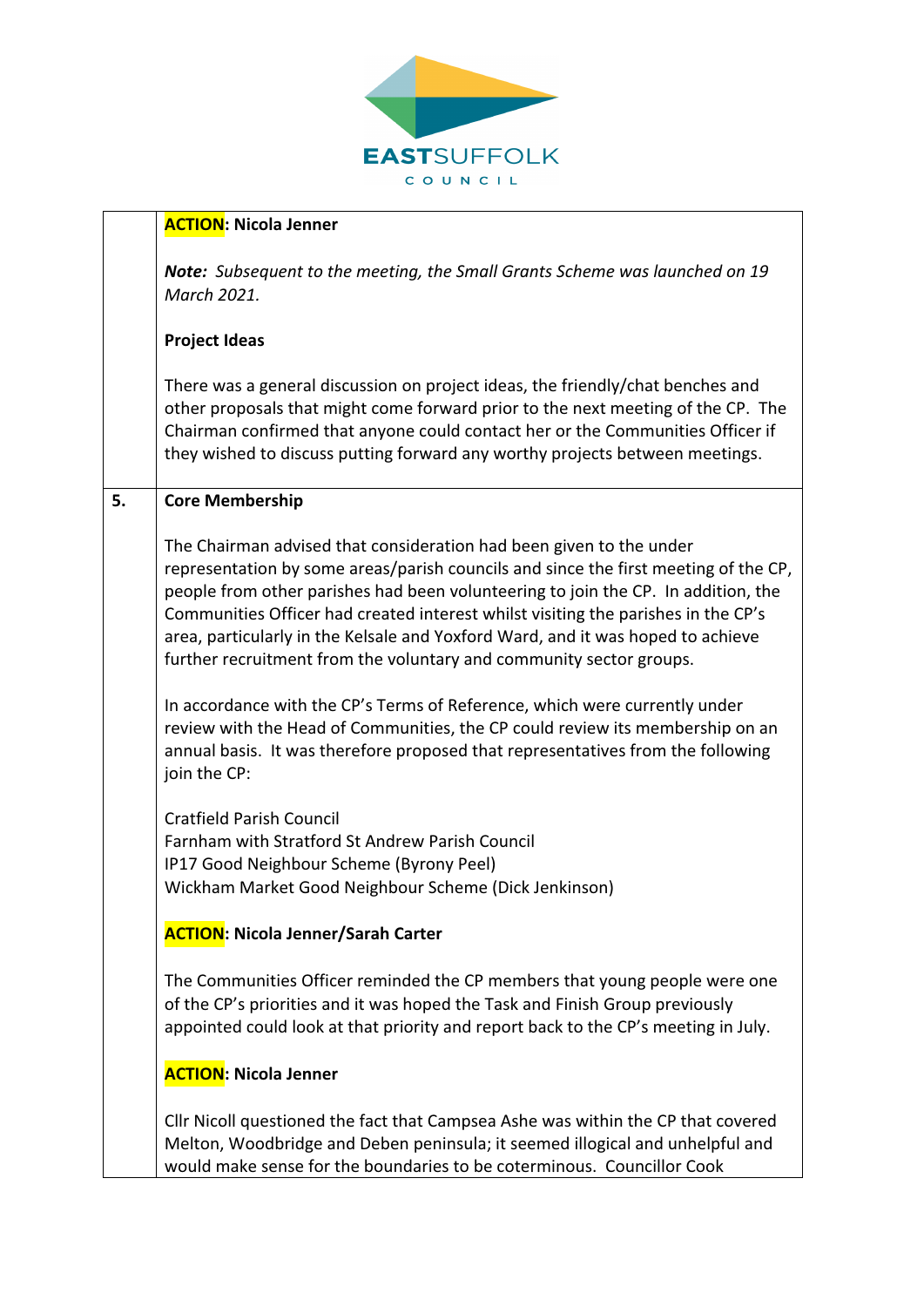

|    | <b>ACTION: Nicola Jenner</b>                                                                                                                                                                                                                                                                                                                                                                                                                                                                   |
|----|------------------------------------------------------------------------------------------------------------------------------------------------------------------------------------------------------------------------------------------------------------------------------------------------------------------------------------------------------------------------------------------------------------------------------------------------------------------------------------------------|
|    | <b>Note:</b> Subsequent to the meeting, the Small Grants Scheme was launched on 19<br>March 2021.                                                                                                                                                                                                                                                                                                                                                                                              |
|    | <b>Project Ideas</b>                                                                                                                                                                                                                                                                                                                                                                                                                                                                           |
|    | There was a general discussion on project ideas, the friendly/chat benches and<br>other proposals that might come forward prior to the next meeting of the CP. The<br>Chairman confirmed that anyone could contact her or the Communities Officer if<br>they wished to discuss putting forward any worthy projects between meetings.                                                                                                                                                           |
| 5. | <b>Core Membership</b>                                                                                                                                                                                                                                                                                                                                                                                                                                                                         |
|    | The Chairman advised that consideration had been given to the under<br>representation by some areas/parish councils and since the first meeting of the CP,<br>people from other parishes had been volunteering to join the CP. In addition, the<br>Communities Officer had created interest whilst visiting the parishes in the CP's<br>area, particularly in the Kelsale and Yoxford Ward, and it was hoped to achieve<br>further recruitment from the voluntary and community sector groups. |
|    | In accordance with the CP's Terms of Reference, which were currently under<br>review with the Head of Communities, the CP could review its membership on an<br>annual basis. It was therefore proposed that representatives from the following<br>join the CP:                                                                                                                                                                                                                                 |
|    | <b>Cratfield Parish Council</b><br>Farnham with Stratford St Andrew Parish Council<br>IP17 Good Neighbour Scheme (Byrony Peel)<br>Wickham Market Good Neighbour Scheme (Dick Jenkinson)                                                                                                                                                                                                                                                                                                        |
|    | <b>ACTION: Nicola Jenner/Sarah Carter</b>                                                                                                                                                                                                                                                                                                                                                                                                                                                      |
|    | The Communities Officer reminded the CP members that young people were one<br>of the CP's priorities and it was hoped the Task and Finish Group previously<br>appointed could look at that priority and report back to the CP's meeting in July.                                                                                                                                                                                                                                               |
|    | <b>ACTION: Nicola Jenner</b>                                                                                                                                                                                                                                                                                                                                                                                                                                                                   |
|    | Cllr Nicoll questioned the fact that Campsea Ashe was within the CP that covered<br>Melton, Woodbridge and Deben peninsula; it seemed illogical and unhelpful and                                                                                                                                                                                                                                                                                                                              |

would make sense for the boundaries to be coterminous. Councillor Cook